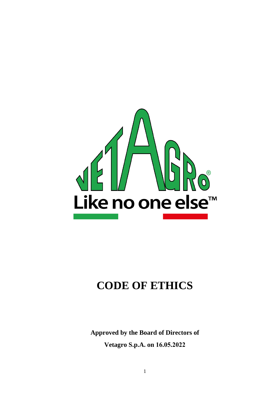

# **CODE OF ETHICS**

**Approved by the Board of Directors of Vetagro S.p.A. on 16.05.2022**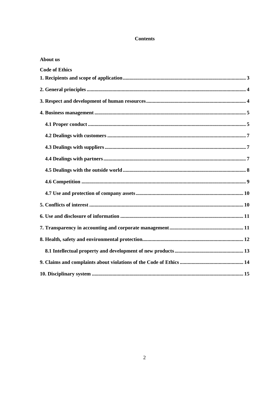#### **Contents**

| <b>About us</b>       |  |
|-----------------------|--|
| <b>Code of Ethics</b> |  |
|                       |  |
|                       |  |
|                       |  |
|                       |  |
|                       |  |
|                       |  |
|                       |  |
|                       |  |
|                       |  |
|                       |  |
|                       |  |
|                       |  |
|                       |  |
|                       |  |
|                       |  |
|                       |  |
|                       |  |
|                       |  |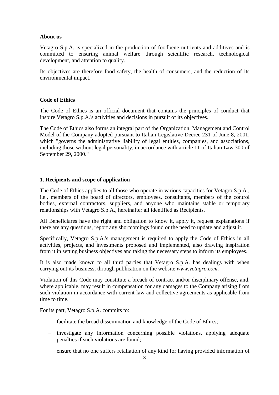#### **About us**

Vetagro S.p.A. is specialized in the production of foodbene nutrients and additives and is committed to ensuring animal welfare through scientific research, technological development, and attention to quality.

Its objectives are therefore food safety, the health of consumers, and the reduction of its environmental impact.

## **Code of Ethics**

The Code of Ethics is an official document that contains the principles of conduct that inspire Vetagro S.p.A.'s activities and decisions in pursuit of its objectives.

The Code of Ethics also forms an integral part of the Organization, Management and Control Model of the Company adopted pursuant to Italian Legislative Decree 231 of June 8, 2001, which "governs the administrative liability of legal entities, companies, and associations, including those without legal personality, in accordance with article 11 of Italian Law 300 of September 29, 2000."

#### <span id="page-2-0"></span>**1. Recipients and scope of application**

The Code of Ethics applies to all those who operate in various capacities for Vetagro S.p.A., i.e., members of the board of directors, employees, consultants, members of the control bodies, external contractors, suppliers, and anyone who maintains stable or temporary relationships with Vetagro S.p.A., hereinafter all identified as Recipients.

All Beneficiares have the right and obligation to know it, apply it, request explanations if there are any questions, report any shortcomings found or the need to update and adjust it.

Specifically, Vetagro S.p.A.'s management is required to apply the Code of Ethics in all activities, projects, and investments proposed and implemented, also drawing inspiration from it in setting business objectives and taking the necessary steps to inform its employees.

It is also made known to all third parties that Vetagro S.p.A. has dealings with when carrying out its business, through publication on the website *www.vetagro.com*.

Violation of this Code may constitute a breach of contract and/or disciplinary offense, and, where applicable, may result in compensation for any damages to the Company arising from such violation in accordance with current law and collective agreements as applicable from time to time.

For its part, Vetagro S.p.A. commits to:

- facilitate the broad dissemination and knowledge of the Code of Ethics;
- investigate any information concerning possible violations, applying adequate penalties if such violations are found;
- ensure that no one suffers retaliation of any kind for having provided information of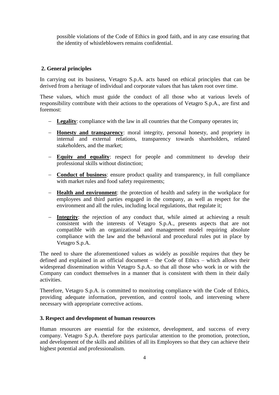possible violations of the Code of Ethics in good faith, and in any case ensuring that the identity of whistleblowers remains confidential.

## <span id="page-3-0"></span>**2. General principles**

In carrying out its business, Vetagro S.p.A. acts based on ethical principles that can be derived from a heritage of individual and corporate values that has taken root over time.

These values, which must guide the conduct of all those who at various levels of responsibility contribute with their actions to the operations of Vetagro S.p.A., are first and foremost:

- **Legality**: compliance with the law in all countries that the Company operates in;
- **Honesty and transparency**: moral integrity, personal honesty, and propriety in internal and external relations, transparency towards shareholders, related stakeholders, and the market;
- **Equity and equality**: respect for people and commitment to develop their professional skills without distinction;
- **Conduct of business**: ensure product quality and transparency, in full compliance with market rules and food safety requirements;
- **Health and environment**: the protection of health and safety in the workplace for employees and third parties engaged in the company, as well as respect for the environment and all the rules, including local regulations, that regulate it;
- **Integrity**: the rejection of any conduct that, while aimed at achieving a result consistent with the interests of Vetagro S.p.A., presents aspects that are not compatible with an organizational and management model requiring absolute compliance with the law and the behavioral and procedural rules put in place by Vetagro S.p.A.

The need to share the aforementioned values as widely as possible requires that they be defined and explained in an official document – the Code of Ethics – which allows their widespread dissemination within Vetagro S.p.A. so that all those who work in or with the Company can conduct themselves in a manner that is consistent with them in their daily activities.

Therefore, Vetagro S.p.A. is committed to monitoring compliance with the Code of Ethics, providing adequate information, prevention, and control tools, and intervening where necessary with appropriate corrective actions.

## <span id="page-3-1"></span>**3. Respect and development of human resources**

Human resources are essential for the existence, development, and success of every company. Vetagro S.p.A. therefore pays particular attention to the promotion, protection, and development of the skills and abilities of all its Employees so that they can achieve their highest potential and professionalism.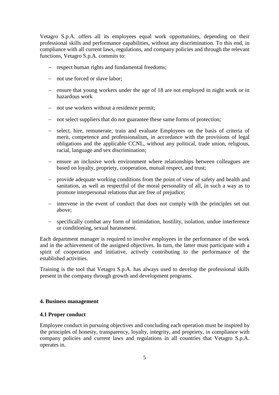Vetagro S.p.A. offers all its employees equal work opportunities, depending on their professional skills and performance capabilities, without any discrimination. To this end, in compliance with all current laws, regulations, and company policies and through the relevant functions, Vetagro S.p.A. commits to:

- respect human rights and fundamental freedoms;
- not use forced or slave labor;
- ensure that young workers under the age of 18 are not employed in night work or in hazardous work
- not use workers without a residence permit;
- not select suppliers that do not guarantee these same forms of protection;
- select, hire, remunerate, train and evaluate Employees on the basis of criteria of merit, competence and professionalism, in accordance with the provisions of legal obligations and the applicable CCNL, without any political, trade union, religious, racial, language and sex discrimination;
- ensure an inclusive work environment where relationships between colleagues are based on loyalty, propriety, cooperation, mutual respect, and trust;
- provide adequate working conditions from the point of view of safety and health and sanitation, as well as respectful of the moral personality of all, in such a way as to promote interpersonal relations that are free of prejudice;
- intervene in the event of conduct that does not comply with the principles set out above;
- specifically combat any form of intimidation, hostility, isolation, undue interference or conditioning, sexual harassment.

Each department manager is required to involve employees in the performance of the work and in the achievement of the assigned objectives. In turn, the latter must participate with a spirit of cooperation and initiative, actively contributing to the performance of the established activities.

Training is the tool that Vetagro S.p.A. has always used to develop the professional skills present in the company through growth and development programs.

## <span id="page-4-0"></span>**4. Business management**

## <span id="page-4-1"></span>**4.1 Proper conduct**

Employee conduct in pursuing objectives and concluding each operation must be inspired by the principles of honesty, transparency, loyalty, integrity, and propriety, in compliance with company policies and current laws and regulations in all countries that Vetagro S.p.A. operates in.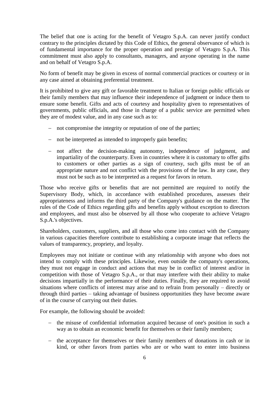The belief that one is acting for the benefit of Vetagro S.p.A. can never justify conduct contrary to the principles dictated by this Code of Ethics, the general observance of which is of fundamental importance for the proper operation and prestige of Vetagro S.p.A. This commitment must also apply to consultants, managers, and anyone operating in the name and on behalf of Vetagro S.p.A.

No form of benefit may be given in excess of normal commercial practices or courtesy or in any case aimed at obtaining preferential treatment.

It is prohibited to give any gift or favorable treatment to Italian or foreign public officials or their family members that may influence their independence of judgment or induce them to ensure some benefit. Gifts and acts of courtesy and hospitality given to representatives of governments, public officials, and those in charge of a public service are permitted when they are of modest value, and in any case such as to:

- not compromise the integrity or reputation of one of the parties;
- not be interpreted as intended to improperly gain benefits;
- not affect the decision-making autonomy, independence of judgment, and impartiality of the counterparty. Even in countries where it is customary to offer gifts to customers or other parties as a sign of courtesy, such gifts must be of an appropriate nature and not conflict with the provisions of the law. In any case, they must not be such as to be interpreted as a request for favors in return.

Those who receive gifts or benefits that are not permitted are required to notify the Supervisory Body, which, in accordance with established procedures, assesses their appropriateness and informs the third party of the Company's guidance on the matter. The rules of the Code of Ethics regarding gifts and benefits apply without exception to directors and employees, and must also be observed by all those who cooperate to achieve Vetagro S.p.A.'s objectives.

Shareholders, customers, suppliers, and all those who come into contact with the Company in various capacities therefore contribute to establishing a corporate image that reflects the values of transparency, propriety, and loyalty.

Employees may not initiate or continue with any relationship with anyone who does not intend to comply with these principles. Likewise, even outside the company's operations, they must not engage in conduct and actions that may be in conflict of interest and/or in competition with those of Vetagro S.p.A., or that may interfere with their ability to make decisions impartially in the performance of their duties. Finally, they are required to avoid situations where conflicts of interest may arise and to refrain from personally – directly or through third parties – taking advantage of business opportunities they have become aware of in the course of carrying out their duties.

For example, the following should be avoided:

- the misuse of confidential information acquired because of one's position in such a way as to obtain an economic benefit for themselves or their family members;
- the acceptance for themselves or their family members of donations in cash or in kind, or other favors from parties who are or who want to enter into business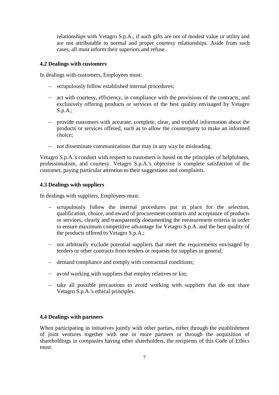relationships with Vetagro S.p.A., if such gifts are not of modest value or utility and are not attributable to normal and proper courtesy relationships. Aside from such cases, all must inform their superiors and refuse.

## <span id="page-6-0"></span>**4.2 Dealings with customers**

In dealings with customers, Employees must:

- scrupulously follow established internal procedures;
- act with courtesy, efficiency, in compliance with the provisions of the contracts, and exclusively offering products or services of the best quality envisaged by Vetagro S.p.A.;
- provide customers with accurate, complete, clear, and truthful information about the products or services offered, such as to allow the counterparty to make an informed choice;
- not disseminate communications that may in any way be misleading.

Vetagro S.p.A.'s conduct with respect to customers is based on the principles of helpfulness, professionalism, and courtesy. Vetagro S.p.A.'s objective is complete satisfaction of the customer, paying particular attention to their suggestions and complaints.

## <span id="page-6-1"></span>**4.3 Dealings with suppliers**

In dealings with suppliers, Employees must:

- scrupulously follow the internal procedures put in place for the selection, qualification, choice, and award of procurement contracts and acceptance of products or services, clearly and transparently documenting the measurement criteria in order to ensure maximum competitive advantage for Vetagro S.p.A. and the best quality of the products offered to Vetagro S.p.A.;
- not arbitrarily exclude potential suppliers that meet the requirements envisaged by tenders or other contracts from tenders or requests for supplies in general;
- demand compliance and comply with contractual conditions;
- avoid working with suppliers that employ relatives or kin;
- take all possible precautions to avoid working with suppliers that do not share Vetagro S.p.A.'s ethical principles.

## <span id="page-6-2"></span>**4.4 Dealings with partners**

When participating in initiatives jointly with other parties, either through the establishment of joint ventures together with one or more partners or through the acquisition of shareholdings in companies having other shareholders, the recipients of this Code of Ethics must: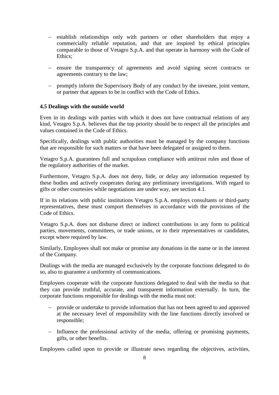- establish relationships only with partners or other shareholders that enjoy a commercially reliable reputation, and that are inspired by ethical principles comparable to those of Vetagro S.p.A. and that operate in harmony with the Code of Ethics;
- ensure the transparency of agreements and avoid signing secret contracts or agreements contrary to the law;
- promptly inform the Supervisory Body of any conduct by the investee, joint venture, or partner that appears to be in conflict with the Code of Ethics.

#### <span id="page-7-0"></span>**4.5 Dealings with the outside world**

Even in its dealings with parties with which it does not have contractual relations of any kind, Vetagro S.p.A. believes that the top priority should be to respect all the principles and values contained in the Code of Ethics.

Specifically, dealings with public authorities must be managed by the company functions that are responsible for such matters or that have been delegated or assigned to them.

Vetagro S.p.A. guarantees full and scrupulous compliance with antitrust rules and those of the regulatory authorities of the market.

Furthermore, Vetagro S.p.A. does not deny, hide, or delay any information requested by these bodies and actively cooperates during any preliminary investigations. With regard to gifts or other courtesies while negotiations are under way, see section 4.1.

If in its relations with public institutions Vetagro S.p.A. employs consultants or third-party representatives, these must comport themselves in accordance with the provisions of the Code of Ethics.

Vetagro S.p.A. does not disburse direct or indirect contributions in any form to political parties, movements, committees, or trade unions, or to their representatives or candidates, except where required by law.

Similarly, Employees shall not make or promise any donations in the name or in the interest of the Company.

Dealings with the media are managed exclusively by the corporate functions delegated to do so, also to guarantee a uniformity of communications.

Employees cooperate with the corporate functions delegated to deal with the media so that they can provide truthful, accurate, and transparent information externally. In turn, the corporate functions responsible for dealings with the media must not:

- provide or undertake to provide information that has not been agreed to and approved at the necessary level of responsibility with the line functions directly involved or responsible;
- Influence the professional activity of the media, offering or promising payments, gifts, or other benefits.

Employees called upon to provide or illustrate news regarding the objectives, activities,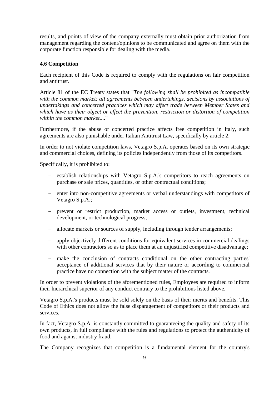results, and points of view of the company externally must obtain prior authorization from management regarding the content/opinions to be communicated and agree on them with the corporate function responsible for dealing with the media.

## <span id="page-8-0"></span>**4.6 Competition**

Each recipient of this Code is required to comply with the regulations on fair competition and antitrust.

Article 81 of the EC Treaty states that "*The following shall be prohibited as incompatible with the common market: all agreements between undertakings, decisions by associations of undertakings and concerted practices which may affect trade between Member States and which have as their object or effect the prevention, restriction or distortion of competition within the common market....*"

Furthermore, if the abuse or concerted practice affects free competition in Italy, such agreements are also punishable under Italian Antitrust Law, specifically by article 2.

In order to not violate competition laws, Vetagro S.p.A. operates based on its own strategic and commercial choices, defining its policies independently from those of its competitors.

Specifically, it is prohibited to:

- establish relationships with Vetagro S.p.A.'s competitors to reach agreements on purchase or sale prices, quantities, or other contractual conditions;
- enter into non-competitive agreements or verbal understandings with competitors of Vetagro S.p.A.;
- prevent or restrict production, market access or outlets, investment, technical development, or technological progress;
- allocate markets or sources of supply, including through tender arrangements;
- apply objectively different conditions for equivalent services in commercial dealings with other contractors so as to place them at an unjustified competitive disadvantage;
- make the conclusion of contracts conditional on the other contracting parties' acceptance of additional services that by their nature or according to commercial practice have no connection with the subject matter of the contracts.

In order to prevent violations of the aforementioned rules, Employees are required to inform their hierarchical superior of any conduct contrary to the prohibitions listed above.

Vetagro S.p.A.'s products must be sold solely on the basis of their merits and benefits. This Code of Ethics does not allow the false disparagement of competitors or their products and services.

In fact, Vetagro S.p.A. is constantly committed to guaranteeing the quality and safety of its own products, in full compliance with the rules and regulations to protect the authenticity of food and against industry fraud.

The Company recognizes that competition is a fundamental element for the country's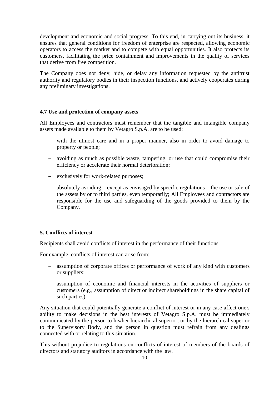development and economic and social progress. To this end, in carrying out its business, it ensures that general conditions for freedom of enterprise are respected, allowing economic operators to access the market and to compete with equal opportunities. It also protects its customers, facilitating the price containment and improvements in the quality of services that derive from free competition.

The Company does not deny, hide, or delay any information requested by the antitrust authority and regulatory bodies in their inspection functions, and actively cooperates during any preliminary investigations.

#### <span id="page-9-0"></span>**4.7 Use and protection of company assets**

All Employees and contractors must remember that the tangible and intangible company assets made available to them by Vetagro S.p.A. are to be used:

- with the utmost care and in a proper manner, also in order to avoid damage to property or people;
- avoiding as much as possible waste, tampering, or use that could compromise their efficiency or accelerate their normal deterioration;
- exclusively for work-related purposes;
- absolutely avoiding except as envisaged by specific regulations the use or sale of the assets by or to third parties, even temporarily; All Employees and contractors are responsible for the use and safeguarding of the goods provided to them by the Company.

#### <span id="page-9-1"></span>**5. Conflicts of interest**

Recipients shall avoid conflicts of interest in the performance of their functions.

For example, conflicts of interest can arise from:

- assumption of corporate offices or performance of work of any kind with customers or suppliers;
- assumption of economic and financial interests in the activities of suppliers or customers (e.g., assumption of direct or indirect shareholdings in the share capital of such parties).

Any situation that could potentially generate a conflict of interest or in any case affect one's ability to make decisions in the best interests of Vetagro S.p.A. must be immediately communicated by the person to his/her hierarchical superior, or by the hierarchical superior to the Supervisory Body, and the person in question must refrain from any dealings connected with or relating to this situation.

This without prejudice to regulations on conflicts of interest of members of the boards of directors and statutory auditors in accordance with the law.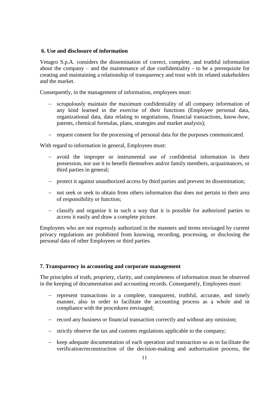#### <span id="page-10-0"></span>**6. Use and disclosure of information**

Vetagro S.p.A. considers the dissemination of correct, complete, and truthful information about the company  $-$  and the maintenance of due confidentiality  $-$  to be a prerequisite for creating and maintaining a relationship of transparency and trust with its related stakeholders and the market.

Consequently, in the management of information, employees must:

- scrupulously maintain the maximum confidentiality of all company information of any kind learned in the exercise of their functions (Employee personal data, organizational data, data relating to negotiations, financial transactions, know-how, patents, chemical formulas, plans, strategies and market analysis);
- request consent for the processing of personal data for the purposes communicated.

With regard to information in general, Employees must:

- avoid the improper or instrumental use of confidential information in their possession, nor use it to benefit themselves and/or family members, acquaintances, or third parties in general;
- protect it against unauthorized access by third parties and prevent its dissemination;
- not seek or seek to obtain from others information that does not pertain to their area of responsibility or function;
- classify and organize it in such a way that it is possible for authorized parties to access it easily and draw a complete picture.

Employees who are not expressly authorized in the manners and terms envisaged by current privacy regulations are prohibited from knowing, recording, processing, or disclosing the personal data of other Employees or third parties.

#### <span id="page-10-1"></span>**7. Transparency in accounting and corporate management**

The principles of truth, propriety, clarity, and completeness of information must be observed in the keeping of documentation and accounting records. Consequently, Employees must:

- represent transactions in a complete, transparent, truthful, accurate, and timely manner, also in order to facilitate the accounting process as a whole and in compliance with the procedures envisaged;
- record any business or financial transaction correctly and without any omission;
- strictly observe the tax and customs regulations applicable to the company;
- keep adequate documentation of each operation and transaction so as to facilitate the verification/reconstruction of the decision-making and authorization process, the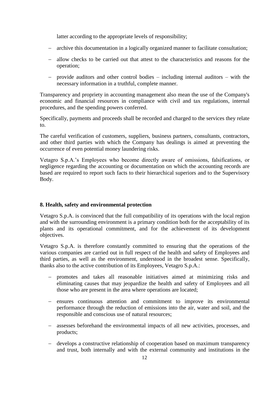latter according to the appropriate levels of responsibility;

- archive this documentation in a logically organized manner to facilitate consultation;
- allow checks to be carried out that attest to the characteristics and reasons for the operation;
- provide auditors and other control bodies including internal auditors with the necessary information in a truthful, complete manner.

Transparency and propriety in accounting management also mean the use of the Company's economic and financial resources in compliance with civil and tax regulations, internal procedures, and the spending powers conferred.

Specifically, payments and proceeds shall be recorded and charged to the services they relate to.

The careful verification of customers, suppliers, business partners, consultants, contractors, and other third parties with which the Company has dealings is aimed at preventing the occurrence of even potential money laundering risks.

Vetagro S.p.A.'s Employees who become directly aware of omissions, falsifications, or negligence regarding the accounting or documentation on which the accounting records are based are required to report such facts to their hierarchical superiors and to the Supervisory Body.

#### <span id="page-11-0"></span>**8. Health, safety and environmental protection**

Vetagro S.p.A. is convinced that the full compatibility of its operations with the local region and with the surrounding environment is a primary condition both for the acceptability of its plants and its operational commitment, and for the achievement of its development objectives.

Vetagro S.p.A. is therefore constantly committed to ensuring that the operations of the various companies are carried out in full respect of the health and safety of Employees and third parties, as well as the environment, understood in the broadest sense. Specifically, thanks also to the active contribution of its Employees, Vetagro S.p.A.:

- promotes and takes all reasonable initiatives aimed at minimizing risks and eliminating causes that may jeopardize the health and safety of Employees and all those who are present in the area where operations are located;
- ensures continuous attention and commitment to improve its environmental performance through the reduction of emissions into the air, water and soil, and the responsible and conscious use of natural resources;
- assesses beforehand the environmental impacts of all new activities, processes, and products;
- develops a constructive relationship of cooperation based on maximum transparency and trust, both internally and with the external community and institutions in the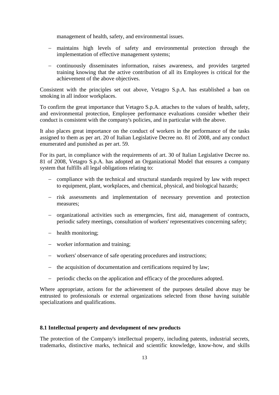management of health, safety, and environmental issues.

- maintains high levels of safety and environmental protection through the implementation of effective management systems;
- continuously disseminates information, raises awareness, and provides targeted training knowing that the active contribution of all its Employees is critical for the achievement of the above objectives.

Consistent with the principles set out above, Vetagro S.p.A. has established a ban on smoking in all indoor workplaces.

To confirm the great importance that Vetagro S.p.A. attaches to the values of health, safety, and environmental protection, Employee performance evaluations consider whether their conduct is consistent with the company's policies, and in particular with the above.

It also places great importance on the conduct of workers in the performance of the tasks assigned to them as per art. 20 of Italian Legislative Decree no. 81 of 2008, and any conduct enumerated and punished as per art. 59.

For its part, in compliance with the requirements of art. 30 of Italian Legislative Decree no. 81 of 2008, Vetagro S.p.A. has adopted an Organizational Model that ensures a company system that fulfills all legal obligations relating to:

- compliance with the technical and structural standards required by law with respect to equipment, plant, workplaces, and chemical, physical, and biological hazards;
- risk assessments and implementation of necessary prevention and protection measures;
- organizational activities such as emergencies, first aid, management of contracts, periodic safety meetings, consultation of workers' representatives concerning safety;
- health monitoring;
- worker information and training;
- workers' observance of safe operating procedures and instructions;
- the acquisition of documentation and certifications required by law;
- periodic checks on the application and efficacy of the procedures adopted.

Where appropriate, actions for the achievement of the purposes detailed above may be entrusted to professionals or external organizations selected from those having suitable specializations and qualifications.

#### <span id="page-12-0"></span>**8.1 Intellectual property and development of new products**

The protection of the Company's intellectual property, including patents, industrial secrets, trademarks, distinctive marks, technical and scientific knowledge, know-how, and skills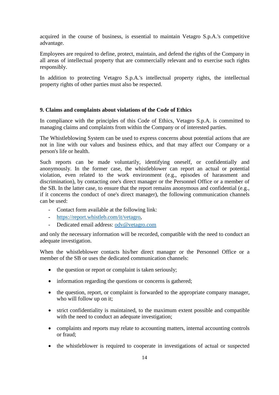acquired in the course of business, is essential to maintain Vetagro S.p.A.'s competitive advantage.

Employees are required to define, protect, maintain, and defend the rights of the Company in all areas of intellectual property that are commercially relevant and to exercise such rights responsibly.

In addition to protecting Vetagro S.p.A.'s intellectual property rights, the intellectual property rights of other parties must also be respected.

#### <span id="page-13-0"></span>**9. Claims and complaints about violations of the Code of Ethics**

In compliance with the principles of this Code of Ethics, Vetagro S.p.A. is committed to managing claims and complaints from within the Company or of interested parties.

The Whistleblowing System can be used to express concerns about potential actions that are not in line with our values and business ethics, and that may affect our Company or a person's life or health.

Such reports can be made voluntarily, identifying oneself, or confidentially and anonymously. In the former case, the whistleblower can report an actual or potential violation, even related to the work environment (e.g., episodes of harassment and discrimination), by contacting one's direct manager or the Personnel Office or a member of the SB. In the latter case, to ensure that the report remains anonymous and confidential (e.g., if it concerns the conduct of one's direct manager), the following communication channels can be used:

- Contact form available at the following link:
- [https://report.whistleb.com/it/vetagro,](https://report.whistleb.com/it/vetagro)
- Dedicated email address: [odv@vetagro.com](mailto:odv@vetagro.com)

and only the necessary information will be recorded, compatible with the need to conduct an adequate investigation.

When the whistleblower contacts his/her direct manager or the Personnel Office or a member of the SB or uses the dedicated communication channels:

- the question or report or complaint is taken seriously;
- information regarding the questions or concerns is gathered;
- the question, report, or complaint is forwarded to the appropriate company manager, who will follow up on it;
- strict confidentiality is maintained, to the maximum extent possible and compatible with the need to conduct an adequate investigation;
- complaints and reports may relate to accounting matters, internal accounting controls or fraud;
- the whistleblower is required to cooperate in investigations of actual or suspected